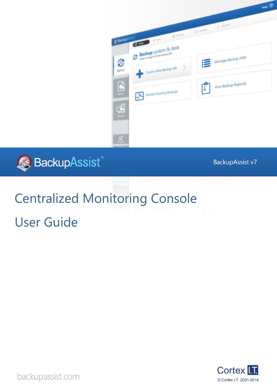



BackupAssist v7

# Centralized Monitoring Console

User Guide



backupassist.com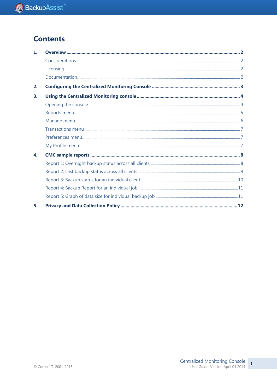## **Contents**

| $\mathbf{1}$ |  |
|--------------|--|
|              |  |
|              |  |
|              |  |
| 2.           |  |
| 3.           |  |
|              |  |
|              |  |
|              |  |
|              |  |
|              |  |
|              |  |
| 4.           |  |
|              |  |
|              |  |
|              |  |
|              |  |
|              |  |
| 5.           |  |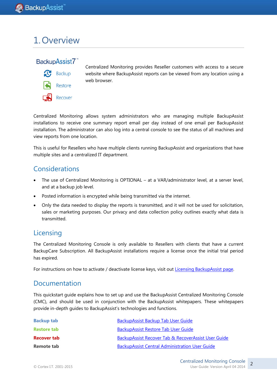## 1.Overview

### BackupAssist7



Centralized Monitoring provides Reseller customers with access to a secure website where BackupAssist reports can be viewed from any location using a web browser.

Centralized Monitoring allows system administrators who are managing multiple BackupAssist installations to receive one summary report email per day instead of one email per BackupAssist installation. The administrator can also log into a central console to see the status of all machines and view reports from one location.

This is useful for Resellers who have multiple clients running BackupAssist and organizations that have multiple sites and a centralized IT department.

## Considerations

- The use of Centralized Monitoring is OPTIONAL at a VAR/administrator level, at a server level, and at a backup job level.
- Posted information is encrypted while being transmitted via the internet.
- Only the data needed to display the reports is transmitted, and it will not be used for solicitation, sales or marketing purposes. Our privacy and data collection policy outlines exactly what data is transmitted.

## **Licensing**

The Centralized Monitoring Console is only available to Resellers with clients that have a current BackupCare Subscription. All BackupAssist installations require a license once the initial trial period has expired.

For instructions on how to activate / deactivate license keys, visit out [Licensing BackupAssist page.](http://www.backupassist.com/education/whitepapers/licensing_backupassist.html)

### Documentation

This quickstart guide explains how to set up and use the BackupAssist Centralized Monitoring Console (CMC), and should be used in conjunction with the BackupAssist whitepapers. These whitepapers provide in-depth guides to BackupAssist's technologies and functions.

| <b>Backup tab</b>  | BackupAssist Backup Tab User Guide                    |
|--------------------|-------------------------------------------------------|
| <b>Restore tab</b> | <b>BackupAssist Restore Tab User Guide</b>            |
| <b>Recover tab</b> | BackupAssist Recover Tab & RecoverAssist User Guide   |
| Remote tab         | <b>BackupAssist Central Administration User Guide</b> |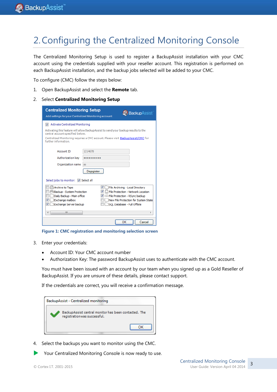## 2.Configuring the Centralized Monitoring Console

The Centralized Monitoring Setup is used to register a BackupAssist installation with your CMC account using the credentials supplied with your reseller account. This registration is performed on each BackupAssist installation, and the backup jobs selected will be added to your CMC.

To configure (CMC) follow the steps below:

1. Open BackupAssist and select the **Remote** tab.

#### 2. Select **Centralized Monitoring Setup**

| <b>Centralized Monitoring Setup</b><br><b>BackupAssist</b><br>Add settings for your Centralized Monitoring account. |                                                                                                      |  |  |  |  |  |
|---------------------------------------------------------------------------------------------------------------------|------------------------------------------------------------------------------------------------------|--|--|--|--|--|
| Activate Centralized Monitoring                                                                                     |                                                                                                      |  |  |  |  |  |
| central account specified below.                                                                                    | Activating this feature will allow BackupAssist to send your backup results to the                   |  |  |  |  |  |
| further information.                                                                                                | Centralized Monitoring requires a CMC account. Please visit BackupAssist/CMC for                     |  |  |  |  |  |
| Account ID                                                                                                          | 1214678                                                                                              |  |  |  |  |  |
| Authorization kev                                                                                                   |                                                                                                      |  |  |  |  |  |
| Organization name                                                                                                   | as                                                                                                   |  |  |  |  |  |
|                                                                                                                     | Deregister                                                                                           |  |  |  |  |  |
| Select jobs to monitor: V Select all                                                                                |                                                                                                      |  |  |  |  |  |
| Archive to Tape                                                                                                     | VI<br>File Archiving - Local Directory                                                               |  |  |  |  |  |
| Backup - System Protection                                                                                          | $\blacksquare$ File Protection - Network Location                                                    |  |  |  |  |  |
| Daily Backup - Main office<br>Exchange mailbox                                                                      | $\blacksquare$ $\blacksquare$ File Protection - RSync backup<br>New File Protection for System State |  |  |  |  |  |
| $\boldsymbol{J}$<br>Exchange Server backup                                                                          | SOL Database - Full Offsite                                                                          |  |  |  |  |  |
|                                                                                                                     |                                                                                                      |  |  |  |  |  |
| Ш                                                                                                                   |                                                                                                      |  |  |  |  |  |
|                                                                                                                     | ОК<br>Cancel                                                                                         |  |  |  |  |  |

**Figure 1: CMC registration and monitoring selection screen**

- 3. Enter your credentials:
	- Account ID: Your CMC account number
	- Authorization Key: The password BackupAssist uses to authenticate with the CMC account.

You must have been issued with an account by our team when you signed up as a Gold Reseller of BackupAssist. If you are unsure of these details, please contact support.

If the credentials are correct, you will receive a confirmation message.

| BackupAssist - Centralized monitoring                                               |  |  |  |  |  |
|-------------------------------------------------------------------------------------|--|--|--|--|--|
| BackupAssist central monitor has been contacted. The<br>registrationwas successful. |  |  |  |  |  |
|                                                                                     |  |  |  |  |  |

- 4. Select the backups you want to monitor using the CMC.
- Your Centralized Monitoring Console is now ready to use.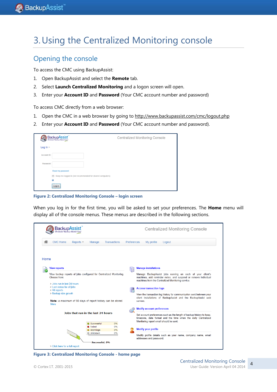## 3.Using the Centralized Monitoring console

### Opening the console

To access the CMC using BackupAssist:

- 1. Open BackupAssist and select the **Remote** tab.
- 2. Select **Launch Centralized Monitoring** and a logon screen will open.
- 3. Enter your **Account ID** and **Password** (Your CMC account number and password)

To access CMC directly from a web browser:

- 1. Open the CMC in a web browser by going to<http://www.backupassist.com/cmc/logout.php>
- 2. Enter your **Account ID** and **Password** (Your CMC account number and password).

|             | BackupAssist                                                       | <b>Centralized Monitoring Console</b> |
|-------------|--------------------------------------------------------------------|---------------------------------------|
| Log in $>$  |                                                                    |                                       |
| Account ID: |                                                                    |                                       |
| Password:   |                                                                    |                                       |
|             | Reset my password                                                  |                                       |
|             | $\Box$<br>Keep me logged in (not recommended for shared computers) |                                       |
|             |                                                                    |                                       |
|             | .<br>Log in<br>***************                                     |                                       |

**Figure 2: Centralized Monitoring Console – login screen**

When you log in for the first time, you will be asked to set your preferences. The **Home** menu will display all of the console menus. These menus are described in the following sections.



**Figure 3: Centralized Monitoring Console - home page**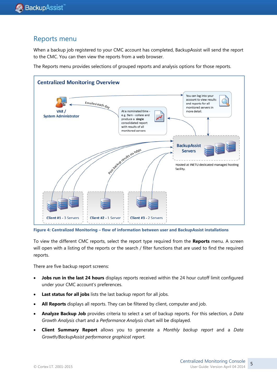### Reports menu

When a backup job registered to your CMC account has completed, BackupAssist will send the report to the CMC. You can then view the reports from a web browser.

The Reports menu provides selections of grouped reports and analysis options for those reports.



**Figure 4: Centralized Monitoring – flow of information between user and BackupAssist installations**

To view the different CMC reports, select the report type required from the **Reports** menu. A screen will open with a listing of the reports or the search / filter functions that are used to find the required reports.

There are five backup report screens:

- **Jobs run in the last 24 hours** displays reports received within the 24 hour cutoff limit configured under your CMC account's preferences.
- Last status for all jobs lists the last backup report for all jobs.
- **All Reports** displays all reports. They can be filtered by client, computer and job.
- **Analyze Backup Job** provides criteria to select a set of backup reports. For this selection, *a Data Growth Analysis* chart and a *Performance Analysis* chart will be displayed.
- **Client Summary Report** allows you to generate a *Monthly backup report* and a *Data Growth/BackupAssist performance graphical report*.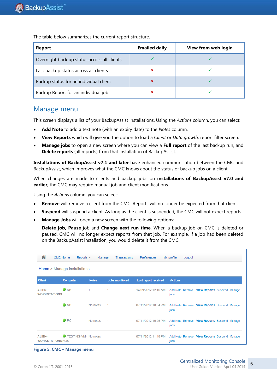**Report Emailed daily View from web login** Overnight back up status across all clients Last backup status across all clients  $\overline{\phantom{a}}$   $\overline{\phantom{a}}$   $\overline{\phantom{a}}$   $\overline{\phantom{a}}$   $\overline{\phantom{a}}$ Backup status for an individual client  $\overline{a}$  and  $\overline{a}$  and  $\overline{a}$  and  $\overline{a}$  and  $\overline{a}$  and  $\overline{a}$  and  $\overline{a}$  and  $\overline{a}$  and  $\overline{a}$  and  $\overline{a}$  and  $\overline{a}$  and  $\overline{a}$  and  $\overline{a}$  and  $\overline{a}$  and Backup Report for an individual job

The table below summarizes the current report structure.

### Manage menu

This screen displays a list of your BackupAssist installations. Using the *Actions* column, you can select:

- **Add Note** to add a text note (with an expiry date) to the *Notes* column.
- **View Reports** which will give you the option to load a *Client* or *Data growth,* report filter screen.
- **Manage jobs** to open a new screen where you can view a **Full report** of the last backup run, and **Delete reports** (all reports) from that installation of BackupAssist.

**Installations of BackupAssist v7.1 and later** have enhanced communication between the CMC and BackupAssist, which improves what the CMC knows about the status of backup jobs on a client.

When changes are made to clients and backup jobs on **installations of BackupAssist v7.0 and earlier**, the CMC may require manual job and client modifications.

Using the *Actions* column, you can select:

- **Remove** will remove a client from the CMC. Reports will no longer be expected from that client.
- **Suspend** will suspend a client. As long as the client is suspended, the CMC will not expect reports.
- **Manage Jobs** will open a new screen with the following options:

**Delete job, Pause** job and **Change next run time**. When a backup job on CMC is deleted or paused, CMC will no longer expect reports from that job. For example, if a job had been deleted on the BackupAssist installation, you would delete it from the CMC.

| 合                                         | <b>CMC Home</b><br>Reports $\sim$<br>Home > Manage installations | Manage       | <b>Transactions</b>   | Preferences                 | My profile     | Logout                                      |  |
|-------------------------------------------|------------------------------------------------------------------|--------------|-----------------------|-----------------------------|----------------|---------------------------------------------|--|
| <b>Client</b>                             | <b>Computer</b>                                                  | <b>Notes</b> | <b>Jobs monitored</b> | <b>Last report received</b> | <b>Actions</b> |                                             |  |
| <b>ALIEN -</b><br><b>WORKSTATIONS</b>     | $\bullet$ NB                                                     |              | 1                     | 14/09/2012 12:16 AM         | jobs           | Add Note Remove View Reports Suspend Manage |  |
|                                           | $\bullet$ NB                                                     | No notes     | 1                     | 07/11/2012 10:34 PM         | jobs           | Add Note Remove View Reports Suspend Manage |  |
|                                           | $\bigcirc$ PC                                                    | No notes     | 1                     | 07/11/2012 10:56 PM         | jobs           | Add Note Remove View Reports Suspend Manage |  |
| <b>ALIEN-</b><br><b>WORKSTATIONS HOST</b> | TESTING-VM- No notes                                             |              | 1                     | 07/11/2012 11:48 PM         | jobs           | Add Note Remove View Reports Suspend Manage |  |

**Figure 5: CMC – Manage menu**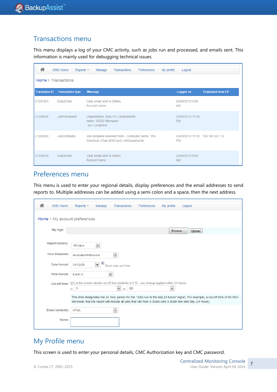## Transactions menu

This menu displays a log of your CMC activity, such as jobs run and processed, and emails sent. This information is mainly used for debugging technical issues.

| 合                    | <b>CMC Home</b><br>Reports $\sim$ | Manage<br>Transactions<br><b>Preferences</b><br>My profile                              | Logout                                       |                      |
|----------------------|-----------------------------------|-----------------------------------------------------------------------------------------|----------------------------------------------|----------------------|
| Home > Transactions  |                                   |                                                                                         |                                              |                      |
| <b>Transation ID</b> | <b>Transaction type</b>           | <b>Message</b>                                                                          | Logged on                                    | Originated from I.P. |
| 21247361             | DailyEmail                        | Daily email sent to EMAIL<br>Account name:                                              | 26/03/2013 9:00<br><b>AM</b>                 |                      |
| 21228855             | <b>JobProcessed</b>               | Organization: Stus PC ComputerWS<br>name :'iSCSI Alienware -<br>, job completed         | 25/03/2013 11:16<br><b>PM</b>                |                      |
| 21228830             | JobComplete                       | Job complete received from - Computer name: WS-<br>014e844c-22a6-4090-be2c-d385bad1a59e | 25/03/2013 11:15 150.101.221.18<br><b>PM</b> |                      |
| 21216210             | DailyEmail                        | Daily email sent to EMAIL<br>Account name:                                              | 25/03/2013 9:00<br><b>AM</b>                 |                      |

## Preferences menu

This menu is used to enter your regional details, display preferences and the email addresses to send reports to. Multiple addresses can be added using a semi colon and a space, then the next address.

| ≪<br><b>CMC Home</b>          | Reports $\sim$<br>My profile<br>Manage<br><b>Transactions</b><br><b>Preferences</b><br>Logout                                                                                                                                              |
|-------------------------------|--------------------------------------------------------------------------------------------------------------------------------------------------------------------------------------------------------------------------------------------|
| Home > My account preferences |                                                                                                                                                                                                                                            |
| My logo:                      | Browse<br>Upload                                                                                                                                                                                                                           |
| <b>Report history:</b>        | $\blacktriangledown$<br>90 days                                                                                                                                                                                                            |
| <b>Your timezone:</b>         | $\blacktriangledown$<br>Australia/Melbourne                                                                                                                                                                                                |
| Date format:                  | $\blacktriangledown$<br>31/12/08<br>Show date and time                                                                                                                                                                                     |
| Time format:                  | $\overline{\phantom{a}}$<br>h:mm tt                                                                                                                                                                                                        |
| <b>Cut-off time:</b>          | Elet the system decide cut-off time (defaults to 9.15 - any change applied within 24 hours)<br>$\blacksquare$<br>$\blacksquare$<br>9<br>00<br>h:<br>m:                                                                                     |
|                               | This time designates the 24 hour period for the "Jobs run in the last 24 hours" report. For example, a cut-off time of 9h 30m<br>will mean that the report will include all jobs that ran from 9.30am until 9.30am the next day (24 hours) |
| <b>Email contents:</b>        | $\overline{\phantom{a}}$<br><b>HTML</b>                                                                                                                                                                                                    |
| Name:                         |                                                                                                                                                                                                                                            |

## My Profile menu

This screen is used to enter your personal details, CMC Authorization key and CMC password.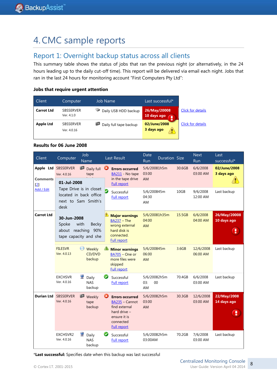## 4.CMC sample reports

## Report 1: Overnight backup status across all clients

This summary table shows the status of jobs that ran the previous night (or alternatively, in the 24 hours leading up to the daily cut-off time). This report will be delivered via email each night. Jobs that ran in the last 24 hours for monitoring account "First Computers Pty Ltd":

#### **Jobs that require urgent attention**

| Client            | Computer                        | <b>Job Name</b>        | Last successful*            |                   |
|-------------------|---------------------------------|------------------------|-----------------------------|-------------------|
| <b>Carrot Ltd</b> | <b>SBSSERVER</b><br>Ver. 4.1.0  | Daily USB HDD backup   | 26/May/20008<br>10 days ago | Click for details |
| <b>Apple Ltd</b>  | <b>SBSSERVER</b><br>Ver. 4.0.16 | Daily full tape backup | 02/June/2008<br>3 days ago  | Click for details |

#### **Results for 06 June 2008**

| Client                              | Computer                                                                                       | Job<br>Name                                                              |   | Last Result                                                                                                                                  | Date<br>Run                       | Duration Size |        | <b>Next</b><br>Run    | Last<br>successful*         |
|-------------------------------------|------------------------------------------------------------------------------------------------|--------------------------------------------------------------------------|---|----------------------------------------------------------------------------------------------------------------------------------------------|-----------------------------------|---------------|--------|-----------------------|-----------------------------|
| Apple Ltd<br><b>Comments</b><br>[2] | <b>SBSSERVER</b><br>Ver. 4.0.16<br>01-Jul-2008                                                 | P<br>Daily full<br>tape                                                  | Ø | <b>Errors occurred</b><br>BA211 - No tape<br>in the tape drive<br><b>Full report</b>                                                         | 5/6/20081h5m<br>03:00<br>AM       |               | 30.6GB | 6/6/2008<br>03:00 AM  | 02/June/2008<br>3 days ago  |
| Add / Edit                          | desk                                                                                           | Tape Drive is in closet<br>located in back office<br>next to Sam Smith's |   | Successful<br><b>Full report</b>                                                                                                             | 5/6/200845m<br>04:30<br>AM        |               | 10GB   | 9/6/2008<br>12:00 AM  | Last backup                 |
| <b>Carrot Ltd</b>                   | 30-Jun-2008<br>Spoke<br>with<br><b>Becky</b><br>about reaching<br>90%<br>tape capacity and she |                                                                          |   | <b>Major warnings</b><br>$BA237 - The$<br>wrong external<br>hard disk is<br>connected.<br><b>Full report</b>                                 | 04:00<br><b>AM</b>                | 5/6/20081h35m | 15.5GB | 6/6/2008<br>04:00 AM  | 26/May/20008<br>10 days ago |
|                                     | <b>FILESVR</b><br>Ver. 4.0.13                                                                  | o<br>Weekly<br>CD/DVD<br>backup                                          |   | <b>Minor warnings</b><br><b>BA705 - One or</b><br>more files were<br>skipped<br><b>Full report</b>                                           | 5/6/200845m<br>06:00<br><b>AM</b> |               | 3.6GB  | 12/6/2008<br>06:00 AM | Last backup                 |
|                                     | <b>EXCHSVR</b><br>Ver. 4.0.16                                                                  | 룿<br>Daily<br><b>NAS</b><br>backup                                       | ❤ | Successful<br>Full report                                                                                                                    | 5/6/20082h5m<br>00<br>03:<br>AM   |               | 70.4GB | 6/6/2008<br>03:00 AM  | Last backup                 |
| <b>Durian Ltd</b>                   | <b>SBSSERVER</b><br>Ver. 4.0.16                                                                | P<br>Weekly<br>tape<br>backup                                            | Ø | <b>Errors occurred</b><br>$\underline{BA235}$ – Cannot<br>find external<br>hard drive $-$<br>ensure it is<br>connected<br><b>Full report</b> | 5/6/20082h5m<br>03:00<br>AM       |               | 30.3GB | 12/6/2008<br>03:00 AM | 22/May/2008<br>14 days ago  |
|                                     | EXCHSVR2<br>Ver. 4.0.16                                                                        | 룿<br>Daily<br><b>NAS</b><br>backup                                       |   | Successful<br><b>Full report</b>                                                                                                             | 5/6/20082h5m<br>03:00AM           |               | 70.2GB | 7/6/2008<br>03:00 AM  | Last backup                 |

\***Last successful:** Specifies date when this backup was last successful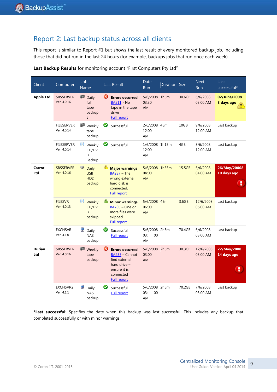## Report 2: Last backup status across all clients

This report is similar to Report #1 but shows the last result of every monitored backup job, including those that did not run in the last 24 hours (for example, backups jobs that run once each week).

| Client               | Computer                         | Job<br>Name                                                     | <b>Last Result</b>                                                                                                                  | Date<br><b>Run</b>                   | Duration Size |        | <b>Next</b><br><b>Run</b> | Last<br>successful*              |
|----------------------|----------------------------------|-----------------------------------------------------------------|-------------------------------------------------------------------------------------------------------------------------------------|--------------------------------------|---------------|--------|---------------------------|----------------------------------|
| <b>Apple Ltd</b>     | <b>SBSSERVER</b><br>Ver. 4.0.16  | ₽<br>Daily<br>full<br>tape<br>backup<br>S                       | Ø<br><b>Errors occurred</b><br><b>BA211</b> - No<br>tape in the tape<br>drive<br><b>Full report</b>                                 | 5/6/2008 1h5m<br>03:30<br>AM         |               | 30.6GB | 6/6/2008<br>03:00 AM      | 02/June/2008<br>3 days ago       |
|                      | <b>FILESERVER</b><br>Ver. 4.0.14 | ρ<br>Weekly<br>tape<br>backup                                   | ☑<br>Successful                                                                                                                     | 2/6/2008 45m<br>12:00<br>AM          |               | 10GB   | 9/6/2008<br>12:00 AM      | Last backup                      |
|                      | <b>FILESERVER</b><br>Ver. 4.0.14 | 0<br>Weekly<br>CD/DV<br>D<br>Backup                             | Successful                                                                                                                          | 1/6/2008 1h15m<br>12:00<br>AM        |               | 4GB    | 8/6/2008<br>12:00 AM      | Last backup                      |
| Carrot<br>Ltd        | <b>SBSSERVER</b><br>Ver. 4.0.16  | $\bullet$<br><b>Daily</b><br><b>USB</b><br><b>HDD</b><br>backup | ♨<br><b>Major warnings</b><br>$BA237 - The$<br>wrong external<br>hard disk is<br>connected.<br><b>Full report</b>                   | 5/6/2008 1h35m<br>04:00<br><b>AM</b> |               | 15.5GB | 6/6/2008<br>04:00 AM      | 26/May/20008<br>10 days ago<br>ι |
|                      | <b>FILESVR</b><br>Ver. 4.0.13    | $\left($<br>Weekly<br>CD/DV<br>D<br>backup                      | <b>Minor warnings</b><br>BA705 - One or<br>more files were<br>skipped<br><b>Full report</b>                                         | 5/6/2008 45m<br>06:00<br><b>AM</b>   |               | 3.6GB  | 12/6/2008<br>06:00 AM     | Last backup                      |
|                      | <b>EXCHSVR</b><br>Ver. 4.1.0     | Daily<br><b>NAS</b><br>backup                                   | Ø<br>Successful<br><b>Full report</b>                                                                                               | 5/6/2008 2h5m<br>03:<br>$00\,$<br>AM |               | 70.4GB | 6/6/2008<br>03:00 AM      | Last backup                      |
| <b>Durian</b><br>Ltd | <b>SBSSERVER</b><br>Ver. 4.0.16  | p<br>Weekly<br>tape<br>backup                                   | ❻<br><b>Errors occurred</b><br>BA235 - Cannot<br>find external<br>hard drive $-$<br>ensure it is<br>connected<br><b>Full report</b> | 5/6/2008 2h5m<br>03:00<br><b>AM</b>  |               | 30.3GB | 12/6/2008<br>03:00 AM     | 22/May/2008<br>14 days ago       |
|                      | <b>EXCHSVR2</b><br>Ver. 4.1.1    | 妟<br>Daily<br><b>NAS</b><br>backup                              | Successful<br><b>Full report</b>                                                                                                    | 5/6/2008 2h5m<br>03:<br>00<br>AM     |               | 70.2GB | 7/6/2008<br>03:00 AM      | Last backup                      |

**Last Backup Results** for monitoring account "First Computers Pty Ltd"

**\*Last successful**: Specifies the date when this backup was last successful. This includes any backup that completed successfully or with minor warnings.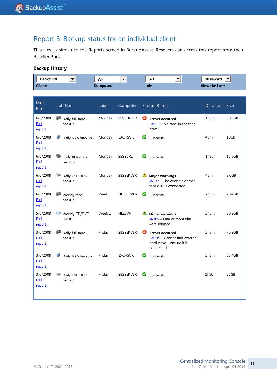## Report 3: Backup status for an individual client

This view is similar to the Reports screen in BackupAssist. Resellers can access this report from their Reseller Portal.

#### **Backup History**

| Carrot Ltd     | All       | All<br>. . | 10 reports            |
|----------------|-----------|------------|-----------------------|
| <b>Client:</b> | Computer: | Job:       | <b>View the Last:</b> |

| Date<br><b>Run</b>         | <b>Job Name</b>                 | Label  | Computer          | <b>Backup Result</b>                                                                                  | Duration | <b>Size</b> |
|----------------------------|---------------------------------|--------|-------------------|-------------------------------------------------------------------------------------------------------|----------|-------------|
| 6/6/2008<br>Full<br>report | ₽<br>Daily full tape<br>backup  | Monday | SBSSERVER         | Ø<br><b>Errors occurred</b><br>BA211 - No tape in the tape<br>drive                                   | 1h5m     | 30.6GB      |
| 6/6/2008<br>Full<br>report | Daily NAS backup<br>罢           | Monday | <b>EXCHSVR</b>    | $\blacktriangledown$<br>Successful                                                                    | 45m      | 10GB        |
| 6/6/2008<br>Full<br>report | Daily REV drive<br>backup       | Monday | SBSSVR1           | Successful                                                                                            | 1h35m    | 15.5GB      |
| 6/6/2008<br>Full<br>report | Daily USB HDD<br>backup         | Monday | <b>SBSSERVER</b>  | <b>Major warnings</b><br>BA237 - The wrong external<br>hard disk is connected.                        | 45m      | 3.6GB       |
| 6/6/2008<br>Full<br>report | IØ<br>Weekly tape<br>backup     | Week 1 | <b>FILESERVER</b> | Ø<br>Successful                                                                                       | 2h5m     | 70.4GB      |
| 5/6/2008<br>Full<br>report | 0<br>Weekly CD/DVD<br>backup    | Week 1 | <b>FILESVR</b>    | <b>Minor warnings</b><br>BA705 - One or more files<br>were skipped                                    | 2h5m     | 30.3GB      |
| 3/6/2008<br>Full<br>report | IØ<br>Daily full tape<br>backup | Friday | <b>SBSSERVER</b>  | Ø<br><b>Errors occurred</b><br>BA235 - Cannot find external<br>hard drive - ensure it is<br>connected | 2h5m     | 70.2GB      |
| 3/6/2008<br>Full<br>report | 孁<br>Daily NAS backup           | Friday | <b>EXCHSVR</b>    | Ø<br>Successful                                                                                       | 2h5m     | 66.4GB      |
| 3/6/2008<br>Full<br>report | Daily USB HDD<br>backup         | Friday | <b>SBSSERVER</b>  | Successful                                                                                            | 1h10m    | 25GB        |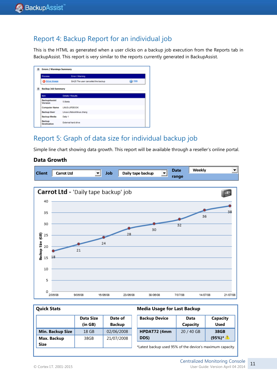## Report 4: Backup Report for an individual job

This is the HTML as generated when a user clicks on a backup job execution from the Reports tab in BackupAssist. This report is very similar to the reports currently generated in BackupAssist.

| <b>Process</b>                   | <b>Error / Warning</b>            |                |
|----------------------------------|-----------------------------------|----------------|
| <b>O</b> Drive Image             | BA25 The user canceled the backup | <b>CO</b> Help |
| <b>Backup Job Summary</b><br>tem | <b>Detain / Results</b>           |                |
| <b>BackupAssist</b><br>Version   | 5.0beta                           |                |
|                                  |                                   |                |
| <b>Computer Name</b>             | LINUS-LIFEBOOK                    |                |
| <b>Backup User</b>               | Linus-Lifebooklinus.chang         |                |
| <b>Backup Media</b>              | Daily 1                           |                |

## Report 5: Graph of data size for individual backup job

Simple line chart showing data growth. This report will be available through a reseller's online portal.

#### **Data Growth**



**Media Usage for Last Backup**

#### **Quick Stats**

|                         | <b>Data Size</b><br>(in GB) | Date of<br><b>Backup</b> | <b>Backup Device</b>                                      | Data<br>Capacity | Capacity<br><b>Used</b> |  |
|-------------------------|-----------------------------|--------------------------|-----------------------------------------------------------|------------------|-------------------------|--|
| <b>Min. Backup Size</b> | 18 GB                       | 02/06/2008               | HPDAT72 (4mm                                              | 20 / 40 GB       | 38GB                    |  |
| Max. Backup             | 38GB                        | 21/07/2008               | DDS)                                                      |                  | $(95%)^*$               |  |
| <b>Size</b>             |                             |                          | *Latest backup used 95% of the device's maximum capacity. |                  |                         |  |